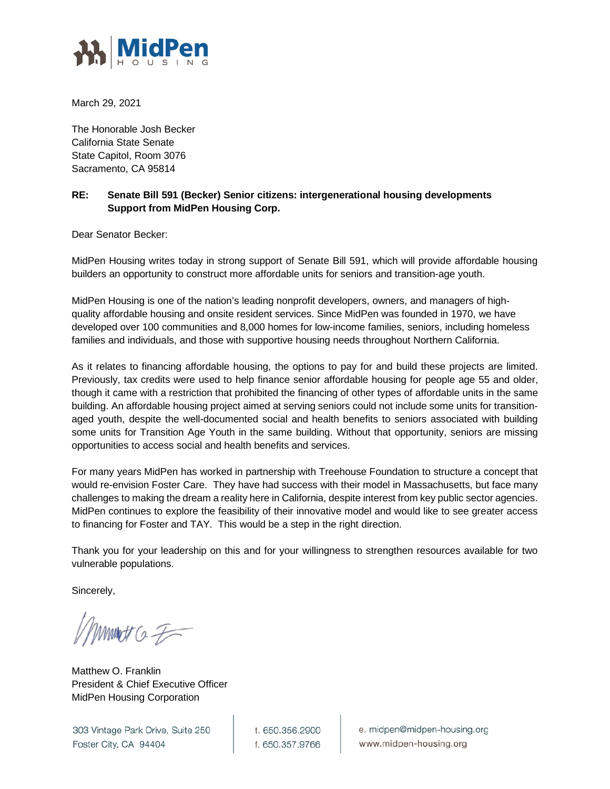

March 29, 2021

The Honorable Josh Becker California State Senate State Capitol, Room 3076 Sacramento, CA 95814

## **RE: Senate Bill 591 (Becker) Senior citizens: intergenerational housing developments Support from MidPen Housing Corp.**

Dear Senator Becker:

MidPen Housing writes today in strong support of Senate Bill 591, which will provide affordable housing builders an opportunity to construct more affordable units for seniors and transition-age youth.

MidPen Housing is one of the nation's leading nonprofit developers, owners, and managers of highquality affordable housing and onsite resident services. Since MidPen was founded in 1970, we have developed over 100 communities and 8,000 homes for low-income families, seniors, including homeless families and individuals, and those with supportive housing needs throughout Northern California.

As it relates to financing affordable housing, the options to pay for and build these projects are limited. Previously, tax credits were used to help finance senior affordable housing for people age 55 and older, though it came with a restriction that prohibited the financing of other types of affordable units in the same building. An affordable housing project aimed at serving seniors could not include some units for transitionaged youth, despite the well-documented social and health benefits to seniors associated with building some units for Transition Age Youth in the same building. Without that opportunity, seniors are missing opportunities to access social and health benefits and services.

For many years MidPen has worked in partnership with Treehouse Foundation to structure a concept that would re-envision Foster Care. They have had success with their model in Massachusetts, but face many challenges to making the dream a reality here in California, despite interest from key public sector agencies. MidPen continues to explore the feasibility of their innovative model and would like to see greater access to financing for Foster and TAY. This would be a step in the right direction.

Thank you for your leadership on this and for your willingness to strengthen resources available for two vulnerable populations.

Sincerely,

Minimat Co F

Matthew O. Franklin President & Chief Executive Officer MidPen Housing Corporation

303 Vintage Park Drive, Suite 250 Foster City, CA 94404